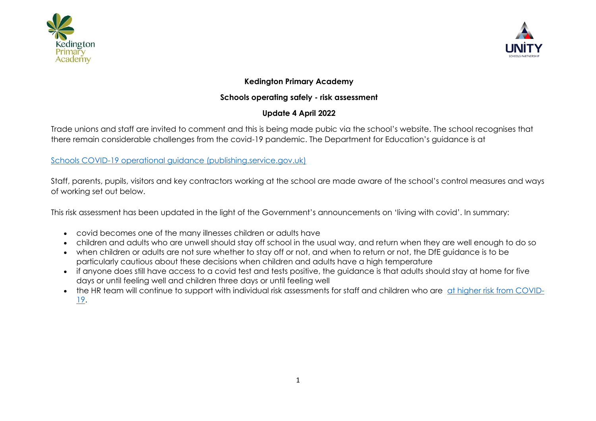



## **Kedington Primary Academy**

## **Schools operating safely - risk assessment**

# **Update 4 April 2022**

Trade unions and staff are invited to comment and this is being made pubic via the school's website. The school recognises that there remain considerable challenges from the covid-19 pandemic. The Department for Education's guidance is at

## [Schools COVID-19 operational guidance \(publishing.service.gov.uk\)](https://assets.publishing.service.gov.uk/government/uploads/system/uploads/attachment_data/file/1057106/220224_Schools_guidance.pdf)

Staff, parents, pupils, visitors and key contractors working at the school are made aware of the school's control measures and ways of working set out below.

This risk assessment has been updated in the light of the Government's announcements on 'living with covid'. In summary:

- covid becomes one of the many illnesses children or adults have
- children and adults who are unwell should stay off school in the usual way, and return when they are well enough to do so
- when children or adults are not sure whether to stay off or not, and when to return or not, the DfE guidance is to be particularly cautious about these decisions when children and adults have a high temperature
- if anyone does still have access to a covid test and tests positive, the guidance is that adults should stay at home for five days or until feeling well and children three days or until feeling well
- the HR team will continue to support with individual risk assessments for staff and children who are [at higher risk from COVID-](https://www.nhs.uk/conditions/coronavirus-covid-19/people-at-higher-risk/who-is-at-high-risk-from-coronavirus/)[19.](https://www.nhs.uk/conditions/coronavirus-covid-19/people-at-higher-risk/who-is-at-high-risk-from-coronavirus/)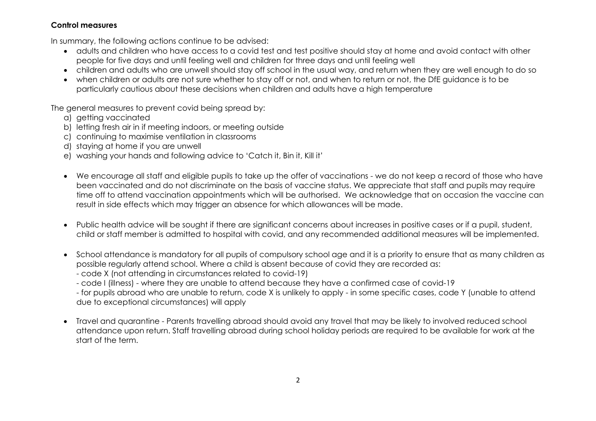### **Control measures**

In summary, the following actions continue to be advised:

- adults and children who have access to a covid test and test positive should stay at home and avoid contact with other people for five days and until feeling well and children for three days and until feeling well
- children and adults who are unwell should stay off school in the usual way, and return when they are well enough to do so
- when children or adults are not sure whether to stay off or not, and when to return or not, the DfE guidance is to be particularly cautious about these decisions when children and adults have a high temperature

The general measures to prevent covid being spread by:

- a) getting vaccinated
- b) letting fresh air in if meeting indoors, or meeting outside
- c) continuing to maximise ventilation in classrooms
- d) staying at home if you are unwell
- e) washing your hands and following advice to 'Catch it, Bin it, Kill it'
- We encourage all staff and eligible pupils to take up the offer of vaccinations we do not keep a record of those who have been vaccinated and do not discriminate on the basis of vaccine status. We appreciate that staff and pupils may require time off to attend vaccination appointments which will be authorised. We acknowledge that on occasion the vaccine can result in side effects which may trigger an absence for which allowances will be made.
- Public health advice will be sought if there are significant concerns about increases in positive cases or if a pupil, student, child or staff member is admitted to hospital with covid, and any recommended additional measures will be implemented.
- School attendance is mandatory for all pupils of compulsory school age and it is a priority to ensure that as many children as possible regularly attend school. Where a child is absent because of covid they are recorded as:
	- code X (not attending in circumstances related to covid-19)
	- code I (illness) where they are unable to attend because they have a confirmed case of covid-19

- for pupils abroad who are unable to return, code X is unlikely to apply - in some specific cases, code Y (unable to attend due to exceptional circumstances) will apply

• Travel and quarantine - Parents travelling abroad should avoid any travel that may be likely to involved reduced school attendance upon return. Staff travelling abroad during school holiday periods are required to be available for work at the start of the term.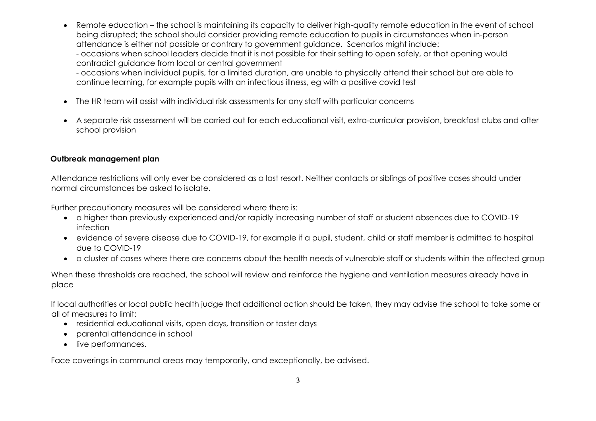• Remote education – the school is maintaining its capacity to deliver high-quality remote education in the event of school being disrupted; the school should consider providing remote education to pupils in circumstances when in-person attendance is either not possible or contrary to government guidance. Scenarios might include:

- occasions when school leaders decide that it is not possible for their setting to open safely, or that opening would contradict guidance from local or central government

- occasions when individual pupils, for a limited duration, are unable to physically attend their school but are able to continue learning, for example pupils with an infectious illness, eg with a positive covid test

- The HR team will assist with individual risk assessments for any staff with particular concerns
- A separate risk assessment will be carried out for each educational visit, extra-curricular provision, breakfast clubs and after school provision

#### **Outbreak management plan**

Attendance restrictions will only ever be considered as a last resort. Neither contacts or siblings of positive cases should under normal circumstances be asked to isolate.

Further precautionary measures will be considered where there is:

- a higher than previously experienced and/or rapidly increasing number of staff or student absences due to COVID-19 infection
- evidence of severe disease due to COVID-19, for example if a pupil, student, child or staff member is admitted to hospital due to COVID-19
- a cluster of cases where there are concerns about the health needs of vulnerable staff or students within the affected group

When these thresholds are reached, the school will review and reinforce the hygiene and ventilation measures already have in place

If local authorities or local public health judge that additional action should be taken, they may advise the school to take some or all of measures to limit:

- residential educational visits, open days, transition or taster days
- parental attendance in school
- live performances.

Face coverings in communal areas may temporarily, and exceptionally, be advised.